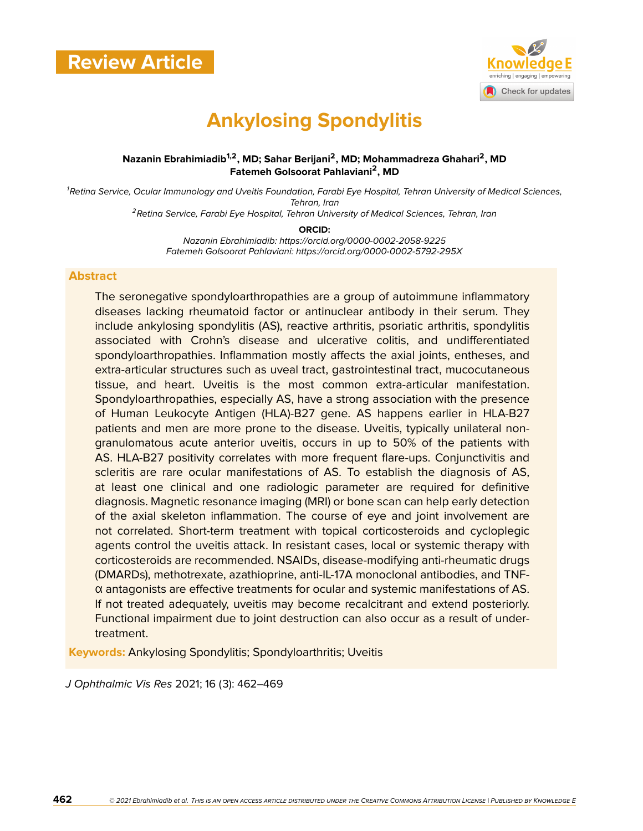

# **Ankylosing Spondylitis**

#### **Nazanin Ebrahimiadib1,2, MD; Sahar Berijani<sup>2</sup> , MD; Mohammadreza Ghahari<sup>2</sup> , MD Fatemeh Golsoorat Pahlaviani<sup>2</sup> , MD**

*<sup>1</sup>Retina Service, Ocular Immunology and Uveitis Foundation, Farabi Eye Hospital, Tehran University of Medical Sciences, Tehran, Iran <sup>2</sup>Retina Service, Farabi Eye Hospital, Tehran University of Medical Sciences, Tehran, Iran*

**ORCID:**

*Nazanin Ebrahimiadib: https://orcid.org/0000-0002-2058-9225 Fatemeh Golsoorat Pahlaviani: https://orcid.org/0000-0002-5792-295X*

#### **Abstract**

The seronegative spondyloarthropathies are a group of autoimmune inflammatory diseases lacking rheumatoid factor or antinuclear antibody in their serum. They include ankylosing spondylitis (AS), reactive arthritis, psoriatic arthritis, spondylitis associated with Crohn's disease and ulcerative colitis, and undifferentiated spondyloarthropathies. Inflammation mostly affects the axial joints, entheses, and extra-articular structures such as uveal tract, gastrointestinal tract, mucocutaneous tissue, and heart. Uveitis is the most common extra-articular manifestation. Spondyloarthropathies, especially AS, have a strong association with the presence of Human Leukocyte Antigen (HLA)-B27 gene. AS happens earlier in HLA-B27 patients and men are more prone to the disease. Uveitis, typically unilateral nongranulomatous acute anterior uveitis, occurs in up to 50% of the patients with AS. HLA-B27 positivity correlates with more frequent flare-ups. Conjunctivitis and scleritis are rare ocular manifestations of AS. To establish the diagnosis of AS, at least one clinical and one radiologic parameter are required for definitive diagnosis. Magnetic resonance imaging (MRI) or bone scan can help early detection of the axial skeleton inflammation. The course of eye and joint involvement are not correlated. Short-term treatment with topical corticosteroids and cycloplegic agents control the uveitis attack. In resistant cases, local or systemic therapy with corticosteroids are recommended. NSAIDs, disease-modifying anti-rheumatic drugs (DMARDs), methotrexate, azathioprine, anti-IL-17A monoclonal antibodies, and TNFα antagonists are effective treatments for ocular and systemic manifestations of AS. If not treated adequately, uveitis may become recalcitrant and extend posteriorly. Functional impairment due to joint destruction can also occur as a result of undertreatment.

**Keywords:** Ankylosing Spondylitis; Spondyloarthritis; Uveitis

*J Ophthalmic Vis Res* 2021; 16 (3): 462–469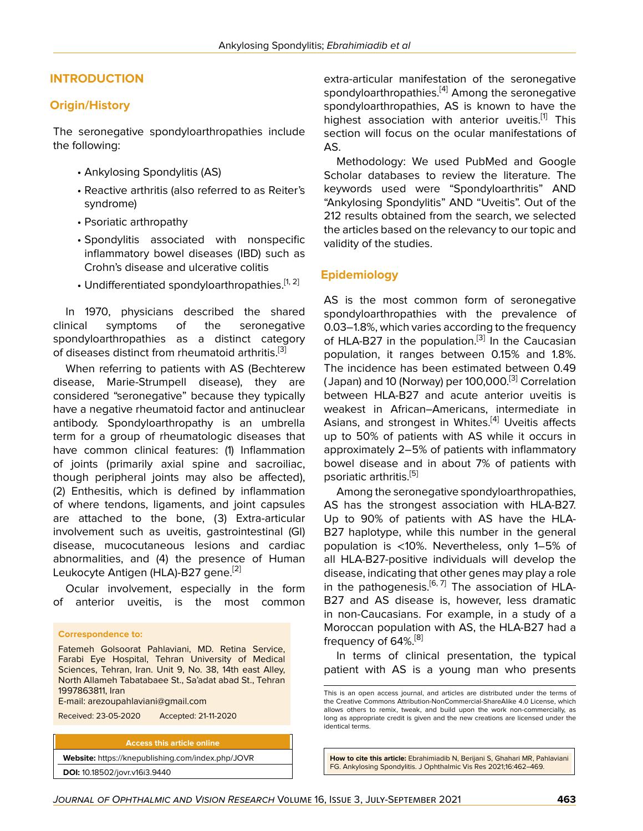#### **INTRODUCTION**

#### **Origin/History**

The seronegative spondyloarthropathies include the following:

- Ankylosing Spondylitis (AS)
- Reactive arthritis (also referred to as Reiter's syndrome)
- Psoriatic arthropathy
- Spondylitis associated with nonspecific inflammatory bowel diseases (IBD) such as Crohn's disease and ulcerative colitis
- Undifferentiated spondyloarthropathies.<sup>[\[1,](#page-6-0) [2](#page-6-1)]</sup>

In 1970, physicians described the shared clinical symptoms of the seronegative spondyloarthropathies as a distinct category of diseases distinct from rheumatoid arthritis.<sup>[[3\]](#page-6-2)</sup>

When referring to patients with AS (Bechterew disease, Marie-Strumpell disease), they are considered "seronegative" because they typically have a negative rheumatoid factor and antinuclear antibody. Spondyloarthropathy is an umbrella term for a group of rheumatologic diseases that have common clinical features: (1) Inflammation of joints (primarily axial spine and sacroiliac, though peripheral joints may also be affected), (2) Enthesitis, which is defined by inflammation of where tendons, ligaments, and joint capsules are attached to the bone, (3) Extra-articular involvement such as uveitis, gastrointestinal (GI) disease, mucocutaneous lesions and cardiac abnormalities, and (4) the presence of Human Leukocyte Antigen (HLA)-B27 gene.<sup>[\[2\]](#page-6-1)</sup>

Ocular involvement, especially in the form of anterior uveitis, is the most common

#### **Correspondence to:**

Fatemeh Golsoorat Pahlaviani, MD. Retina Service, Farabi Eye Hospital, Tehran University of Medical Sciences, Tehran, Iran. Unit 9, No. 38, 14th east Alley, North Allameh Tabatabaee St., Sa'adat abad St., Tehran 1997863811, Iran

E-mail: arezoupahlaviani@gmail.com

Received: 23-05-2020 Accepted: 21-11-2020

**Access this article online**

**Website:** <https://knepublishing.com/index.php/JOVR> **DOI:** 10.18502/jovr.v16i3.9440

extra-articular manifestation of the seronegative spondyloarthropathies. $^{[4]}$  $^{[4]}$  $^{[4]}$  Among the seronegative spondyloarthropathies, AS is known to have the highest association with anterior uveitis.<sup>[[1\]](#page-6-0)</sup> This section will focus on the ocular manifestations of AS.

Methodology: We used PubMed and Google Scholar databases to review the literature. The keywords used were "Spondyloarthritis" AND "Ankylosing Spondylitis" AND "Uveitis". Out of the 212 results obtained from the search, we selected the articles based on the relevancy to our topic and validity of the studies.

#### **Epidemiology**

AS is the most common form of seronegative spondyloarthropathies with the prevalence of 0.03–1.8%, which varies according to the frequency of HLA-B27 in the population.<sup>[[3](#page-6-2)]</sup> In the Caucasian population, it ranges between 0.15% and 1.8%. The incidence has been estimated between 0.49 (Japan) and 10 (Norway) per 100,000.<sup>[[3](#page-6-2)]</sup> Correlation between HLA-B27 and acute anterior uveitis is weakest in African–Americans, intermediate in Asians, and strongest in Whites.<sup>[\[4](#page-6-3)]</sup> Uveitis affects up to 50% of patients with AS while it occurs in approximately 2–5% of patients with inflammatory bowel disease and in about 7% of patients with psoriatic arthritis.<sup>[[5](#page-6-4)]</sup>

Among the seronegative spondyloarthropathies, AS has the strongest association with HLA-B27. Up to 90% of patients with AS have the HLA-B27 haplotype, while this number in the general population is <10%. Nevertheless, only 1–5% of all HLA-B27-positive individuals will develop the disease, indicating that other genes may play a role in the pathogenesis.<sup>[[6](#page-6-5), [7](#page-6-6)]</sup> The association of HLA-B27 and AS disease is, however, less dramatic in non-Caucasians. For example, in a study of a Moroccan population with AS, the HLA-B27 had a frequency of 64%.<sup>[[8](#page-6-7)]</sup>

In terms of clinical presentation, the typical patient with AS is a young man who presents

**How to cite this article:** Ebrahimiadib N, Berijani S, Ghahari MR, Pahlaviani FG. Ankylosing Spondylitis. J Ophthalmic Vis Res 2021;16:462–469.

This is an open access journal, and articles are distributed under the terms of the Creative Commons Attribution-NonCommercial-ShareAlike 4.0 License, which allows others to remix, tweak, and build upon the work non-commercially, as long as appropriate credit is given and the new creations are licensed under the identical terms.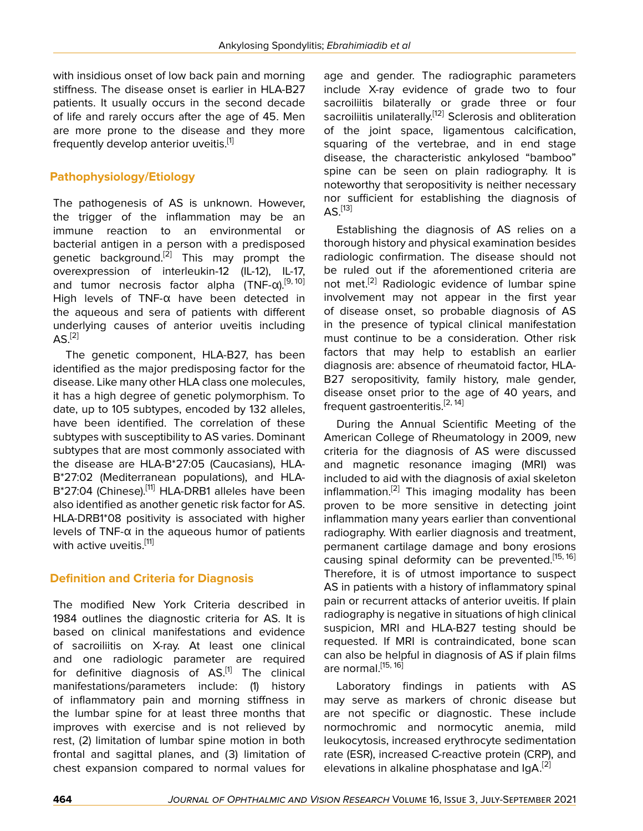with insidious onset of low back pain and morning stiffness. The disease onset is earlier in HLA-B27 patients. It usually occurs in the second decade of life and rarely occurs after the age of 45. Men are more prone to the disease and they more frequently develop anterior uveitis.<sup>[\[1\]](#page-6-0)</sup>

# **Pathophysiology/Etiology**

The pathogenesis of AS is unknown. However, the trigger of the inflammation may be an immune reaction to an environmental or bacterial antigen in a person with a predisposed genetic background.<sup>[\[2\]](#page-6-1)</sup> This may prompt the overexpression of interleukin-12 (IL-12), IL-17, and tumor necrosis factor alpha (TNF-α).<sup>[[9](#page-6-8), [10](#page-6-9)]</sup> High levels of TNF-α have been detected in the aqueous and sera of patients with different underlying causes of anterior uveitis including  $AS<sup>[2]</sup>$  $AS<sup>[2]</sup>$  $AS<sup>[2]</sup>$ 

The genetic component, HLA-B27, has been identified as the major predisposing factor for the disease. Like many other HLA class one molecules, it has a high degree of genetic polymorphism. To date, up to 105 subtypes, encoded by 132 alleles, have been identified. The correlation of these subtypes with susceptibility to AS varies. Dominant subtypes that are most commonly associated with the disease are HLA-B\*27:05 (Caucasians), HLA-B\*27:02 (Mediterranean populations), and HLA-B\*27:04 (Chinese).<sup>[[11\]](#page-6-10)</sup> HLA-DRB1 alleles have been also identified as another genetic risk factor for AS. HLA-DRB1\*08 positivity is associated with higher levels of TNF-α in the aqueous humor of patients with active uveitis.<sup>[\[11\]](#page-6-10)</sup>

# **Definition and Criteria for Diagnosis**

The modified New York Criteria described in 1984 outlines the diagnostic criteria for AS. It is based on clinical manifestations and evidence of sacroiliitis on X-ray. At least one clinical and one radiologic parameter are required for definitive diagnosis of  $AS$ <sup>[\[1](#page-6-0)]</sup> The clinical manifestations/parameters include: (1) history of inflammatory pain and morning stiffness in the lumbar spine for at least three months that improves with exercise and is not relieved by rest, (2) limitation of lumbar spine motion in both frontal and sagittal planes, and (3) limitation of chest expansion compared to normal values for

age and gender. The radiographic parameters include X-ray evidence of grade two to four sacroiliitis bilaterally or grade three or four sacroiliitis unilaterally.<sup>[[12\]](#page-6-11)</sup> Sclerosis and obliteration of the joint space, ligamentous calcification, squaring of the vertebrae, and in end stage disease, the characteristic ankylosed "bamboo" spine can be seen on plain radiography. It is noteworthy that seropositivity is neither necessary nor sufficient for establishing the diagnosis of  $AS.$ <sup>[[13\]](#page-6-12)</sup>

Establishing the diagnosis of AS relies on a thorough history and physical examination besides radiologic confirmation. The disease should not be ruled out if the aforementioned criteria are not met.[\[2\]](#page-6-1) Radiologic evidence of lumbar spine involvement may not appear in the first year of disease onset, so probable diagnosis of AS in the presence of typical clinical manifestation must continue to be a consideration. Other risk factors that may help to establish an earlier diagnosis are: absence of rheumatoid factor, HLA-B27 seropositivity, family history, male gender, disease onset prior to the age of 40 years, and frequent gastroenteritis.<sup>[[2](#page-6-1), [14\]](#page-6-13)</sup>

During the Annual Scientific Meeting of the American College of Rheumatology in 2009, new criteria for the diagnosis of AS were discussed and magnetic resonance imaging (MRI) was included to aid with the diagnosis of axial skeleton inflammation.<sup>[\[2\]](#page-6-1)</sup> This imaging modality has been proven to be more sensitive in detecting joint inflammation many years earlier than conventional radiography. With earlier diagnosis and treatment, permanent cartilage damage and bony erosions causing spinal deformity can be prevented.<sup>[\[15](#page-6-14), [16](#page-6-15)]</sup> Therefore, it is of utmost importance to suspect AS in patients with a history of inflammatory spinal pain or recurrent attacks of anterior uveitis. If plain radiography is negative in situations of high clinical suspicion, MRI and HLA-B27 testing should be requested. If MRI is contraindicated, bone scan can also be helpful in diagnosis of AS if plain films are normal  $^{[15, 16]}$  $^{[15, 16]}$  $^{[15, 16]}$  $^{[15, 16]}$  $^{[15, 16]}$ 

Laboratory findings in patients with AS may serve as markers of chronic disease but are not specific or diagnostic. These include normochromic and normocytic anemia, mild leukocytosis, increased erythrocyte sedimentation rate (ESR), increased C-reactive protein (CRP), and elevations in alkaline phosphatase and  $\text{IgA}$ <sup>[\[2\]](#page-6-1)</sup>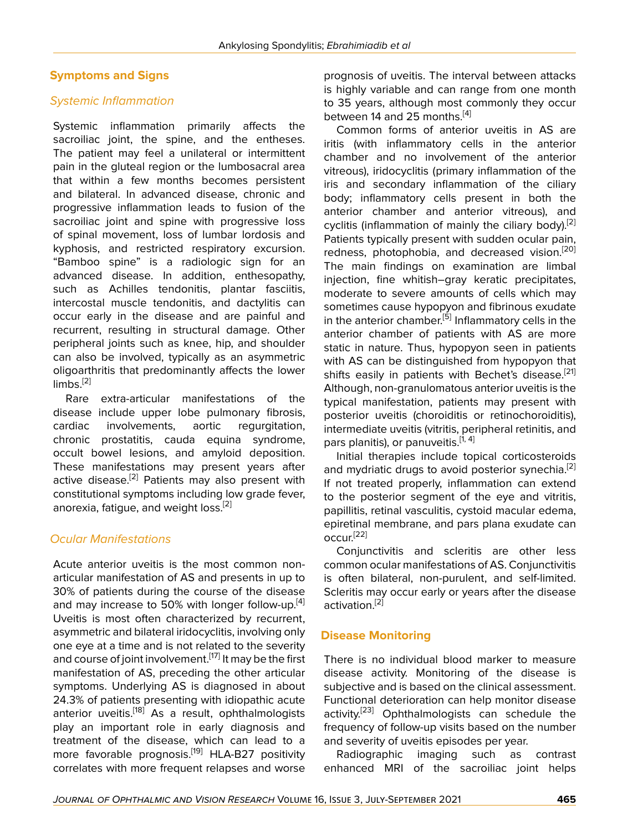#### **Symptoms and Signs**

#### *Systemic Inflammation*

Systemic inflammation primarily affects the sacroiliac joint, the spine, and the entheses. The patient may feel a unilateral or intermittent pain in the gluteal region or the lumbosacral area that within a few months becomes persistent and bilateral. In advanced disease, chronic and progressive inflammation leads to fusion of the sacroiliac joint and spine with progressive loss of spinal movement, loss of lumbar lordosis and kyphosis, and restricted respiratory excursion. "Bamboo spine" is a radiologic sign for an advanced disease. In addition, enthesopathy, such as Achilles tendonitis, plantar fasciitis, intercostal muscle tendonitis, and dactylitis can occur early in the disease and are painful and recurrent, resulting in structural damage. Other peripheral joints such as knee, hip, and shoulder can also be involved, typically as an asymmetric oligoarthritis that predominantly affects the lower  $limbs.$ <sup>[\[2\]](#page-6-1)</sup>

Rare extra-articular manifestations of the disease include upper lobe pulmonary fibrosis, cardiac involvements, aortic regurgitation, chronic prostatitis, cauda equina syndrome, occult bowel lesions, and amyloid deposition. These manifestations may present years after active disease.<sup>[\[2\]](#page-6-1)</sup> Patients may also present with constitutional symptoms including low grade fever, anorexia, fatique, and weight loss.<sup>[\[2\]](#page-6-1)</sup>

#### *Ocular Manifestations*

Acute anterior uveitis is the most common nonarticular manifestation of AS and presents in up to 30% of patients during the course of the disease and may increase to 50% with longer follow-up. $^{[4]}$  $^{[4]}$  $^{[4]}$ Uveitis is most often characterized by recurrent, asymmetric and bilateral iridocyclitis, involving only one eye at a time and is not related to the severity and course of joint involvement.<sup>[\[17\]](#page-6-16)</sup> It may be the first manifestation of AS, preceding the other articular symptoms. Underlying AS is diagnosed in about 24.3% of patients presenting with idiopathic acute anterior uveitis.<sup>[[18\]](#page-6-17)</sup> As a result, ophthalmologists play an important role in early diagnosis and treatment of the disease, which can lead to a more favorable prognosis.<sup>[[19](#page-6-18)]</sup> HLA-B27 positivity correlates with more frequent relapses and worse

prognosis of uveitis. The interval between attacks is highly variable and can range from one month to 35 years, although most commonly they occur between 14 and 25 months.<sup>[[4\]](#page-6-3)</sup>

Common forms of anterior uveitis in AS are iritis (with inflammatory cells in the anterior chamber and no involvement of the anterior vitreous), iridocyclitis (primary inflammation of the iris and secondary inflammation of the ciliary body; inflammatory cells present in both the anterior chamber and anterior vitreous), and cyclitis (inflammation of mainly the ciliary body).<sup>[[2](#page-6-1)]</sup> Patients typically present with sudden ocular pain, redness, photophobia, and decreased vision.<sup>[\[20](#page-7-0)]</sup> The main findings on examination are limbal injection, fine whitish–gray keratic precipitates, moderate to severe amounts of cells which may sometimes cause hypopyon and fibrinous exudate in the anterior chamber.<sup>[[5](#page-6-4)]</sup> Inflammatory cells in the anterior chamber of patients with AS are more static in nature. Thus, hypopyon seen in patients with AS can be distinguished from hypopyon that shifts easily in patients with Bechet's disease.<sup>[\[21](#page-7-1)]</sup> Although, non-granulomatous anterior uveitis is the typical manifestation, patients may present with posterior uveitis (choroiditis or retinochoroiditis), intermediate uveitis (vitritis, peripheral retinitis, and pars planitis), or panuveitis.<sup>[[1](#page-6-0), [4](#page-6-3)]</sup>

Initial therapies include topical corticosteroids and mydriatic drugs to avoid posterior synechia.<sup>[[2](#page-6-1)]</sup> If not treated properly, inflammation can extend to the posterior segment of the eye and vitritis, papillitis, retinal vasculitis, cystoid macular edema, epiretinal membrane, and pars plana exudate can  $\text{occur}^{[22]}$  $\text{occur}^{[22]}$  $\text{occur}^{[22]}$ 

Conjunctivitis and scleritis are other less common ocular manifestations of AS. Conjunctivitis is often bilateral, non-purulent, and self-limited. Scleritis may occur early or years after the disease activation.[[2](#page-6-1)]

#### **Disease Monitoring**

There is no individual blood marker to measure disease activity. Monitoring of the disease is subjective and is based on the clinical assessment. Functional deterioration can help monitor disease activity.<sup>[\[23](#page-7-3)]</sup> Ophthalmologists can schedule the frequency of follow-up visits based on the number and severity of uveitis episodes per year.

Radiographic imaging such as contrast enhanced MRI of the sacroiliac joint helps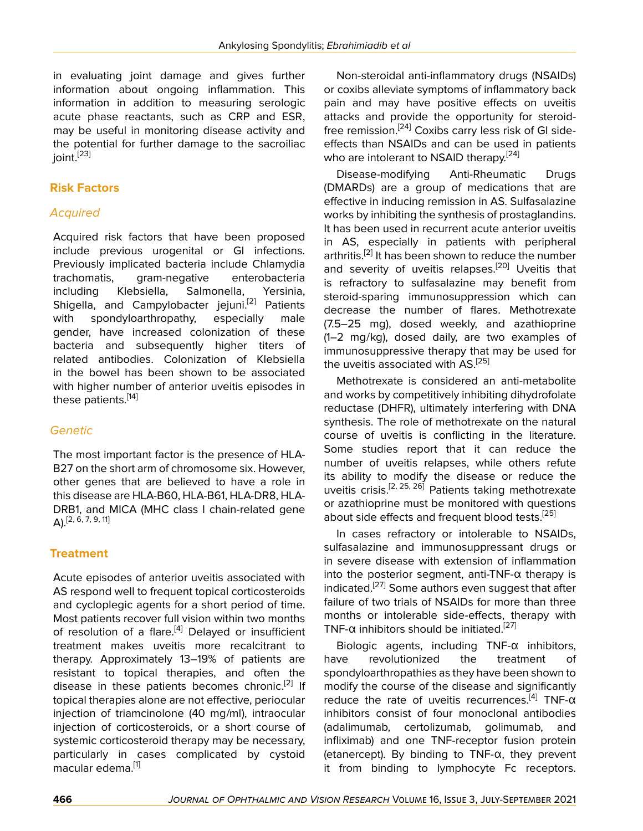in evaluating joint damage and gives further information about ongoing inflammation. This information in addition to measuring serologic acute phase reactants, such as CRP and ESR, may be useful in monitoring disease activity and the potential for further damage to the sacroiliac ioint.<sup>[[23](#page-7-3)]</sup>

## **Risk Factors**

#### *Acquired*

Acquired risk factors that have been proposed include previous urogenital or GI infections. Previously implicated bacteria include Chlamydia trachomatis, gram-negative enterobacteria including Klebsiella, Salmonella, Yersinia, Shigella, and Campylobacter jejuni.<sup>[\[2\]](#page-6-1)</sup> Patients with spondyloarthropathy, especially male gender, have increased colonization of these bacteria and subsequently higher titers of related antibodies. Colonization of Klebsiella in the bowel has been shown to be associated with higher number of anterior uveitis episodes in these patients.[[14\]](#page-6-13)

# *Genetic*

The most important factor is the presence of HLA-B27 on the short arm of chromosome six. However, other genes that are believed to have a role in this disease are HLA-B60, HLA-B61, HLA-DR8, HLA-DRB1, and MICA (MHC class I chain-related gene  $A$ ). [[2](#page-6-1), [6,](#page-6-5) [7](#page-6-6), [9,](#page-6-8) [11\]](#page-6-10)

# **Treatment**

Acute episodes of anterior uveitis associated with AS respond well to frequent topical corticosteroids and cycloplegic agents for a short period of time. Most patients recover full vision within two months of resolution of a flare.<sup>[[4](#page-6-3)]</sup> Delayed or insufficient treatment makes uveitis more recalcitrant to therapy. Approximately 13–19% of patients are resistant to topical therapies, and often the disease in these patients becomes chronic.<sup>[[2](#page-6-1)]</sup> If topical therapies alone are not effective, periocular injection of triamcinolone (40 mg/ml), intraocular injection of corticosteroids, or a short course of systemic corticosteroid therapy may be necessary, particularly in cases complicated by cystoid macular edema.<sup>[\[1\]](#page-6-0)</sup>

Non-steroidal anti-inflammatory drugs (NSAIDs) or coxibs alleviate symptoms of inflammatory back pain and may have positive effects on uveitis attacks and provide the opportunity for steroidfree remission.[[24\]](#page-7-4) Coxibs carry less risk of GI sideeffects than NSAIDs and can be used in patients who are intolerant to NSAID therapy.<sup>[\[24\]](#page-7-4)</sup>

Disease-modifying Anti-Rheumatic Drugs (DMARDs) are a group of medications that are effective in inducing remission in AS. Sulfasalazine works by inhibiting the synthesis of prostaglandins. It has been used in recurrent acute anterior uveitis in AS, especially in patients with peripheral arthritis.<sup>[[2](#page-6-1)]</sup> It has been shown to reduce the number and severity of uveitis relapses.<sup>[\[20](#page-7-0)]</sup> Uveitis that is refractory to sulfasalazine may benefit from steroid-sparing immunosuppression which can decrease the number of flares. Methotrexate (7.5–25 mg), dosed weekly, and azathioprine (1–2 mg/kg), dosed daily, are two examples of immunosuppressive therapy that may be used for the uveitis associated with AS.<sup>[\[25](#page-7-5)]</sup>

Methotrexate is considered an anti-metabolite and works by competitively inhibiting dihydrofolate reductase (DHFR), ultimately interfering with DNA synthesis. The role of methotrexate on the natural course of uveitis is conflicting in the literature. Some studies report that it can reduce the number of uveitis relapses, while others refute its ability to modify the disease or reduce the uveitis crisis.<sup>[\[2,](#page-6-1) [25](#page-7-5), [26](#page-7-6)]</sup> Patients taking methotrexate or azathioprine must be monitored with questions about side effects and frequent blood tests.<sup>[\[25\]](#page-7-5)</sup>

In cases refractory or intolerable to NSAIDs, sulfasalazine and immunosuppressant drugs or in severe disease with extension of inflammation into the posterior segment, anti-TNF- $\alpha$  therapy is indicated.[\[27](#page-7-7)] Some authors even suggest that after failure of two trials of NSAIDs for more than three months or intolerable side-effects, therapy with TNF- $\alpha$  inhibitors should be initiated.<sup>[[27\]](#page-7-7)</sup>

Biologic agents, including TNF-α inhibitors, have revolutionized the treatment of spondyloarthropathies as they have been shown to modify the course of the disease and significantly reduce the rate of uveitis recurrences.<sup>[[4](#page-6-3)]</sup> TNF- $\alpha$ inhibitors consist of four monoclonal antibodies (adalimumab, certolizumab, golimumab, and infliximab) and one TNF-receptor fusion protein (etanercept). By binding to TNF-α, they prevent it from binding to lymphocyte Fc receptors.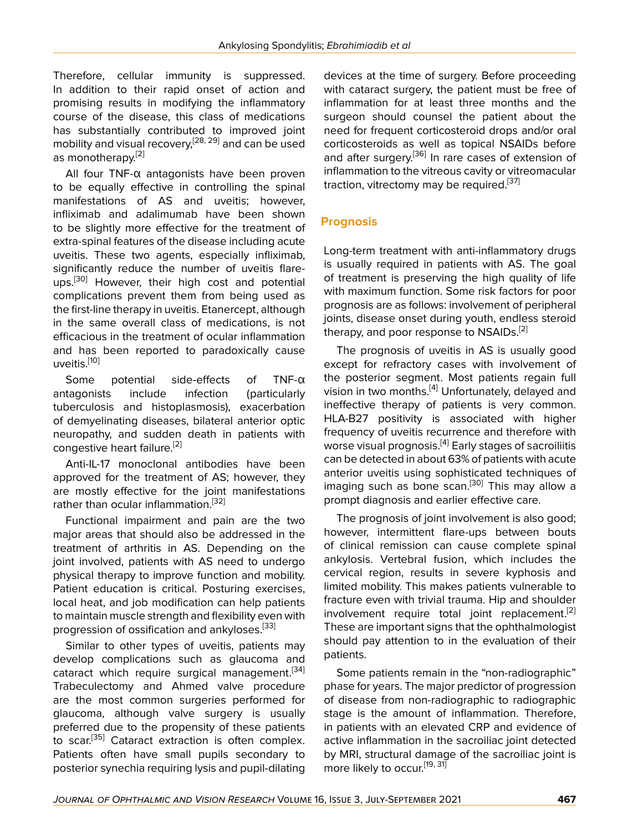Therefore, cellular immunity is suppressed. In addition to their rapid onset of action and promising results in modifying the inflammatory course of the disease, this class of medications has substantially contributed to improved joint mobility and visual recovery,<sup>[\[28](#page-7-8), [29](#page-7-9)]</sup> and can be used as monotherapy.<sup>[\[2\]](#page-6-1)</sup>

All four TNF-α antagonists have been proven to be equally effective in controlling the spinal manifestations of AS and uveitis; however, infliximab and adalimumab have been shown to be slightly more effective for the treatment of extra-spinal features of the disease including acute uveitis. These two agents, especially infliximab, significantly reduce the number of uveitis flare-ups.<sup>[\[30](#page-7-10)]</sup> However, their high cost and potential complications prevent them from being used as the first-line therapy in uveitis. Etanercept, although in the same overall class of medications, is not efficacious in the treatment of ocular inflammation and has been reported to paradoxically cause uveitis.[[10\]](#page-6-9)

Some potential side-effects of TNF-α antagonists include infection (particularly tuberculosis and histoplasmosis), exacerbation of demyelinating diseases, bilateral anterior optic neuropathy, and sudden death in patients with congestive heart failure.<sup>[[2](#page-6-1)]</sup>

Anti-IL-17 monoclonal antibodies have been approved for the treatment of AS; however, they are mostly effective for the joint manifestations rather than ocular inflammation.<sup>[[32\]](#page-7-11)</sup>

Functional impairment and pain are the two major areas that should also be addressed in the treatment of arthritis in AS. Depending on the joint involved, patients with AS need to undergo physical therapy to improve function and mobility. Patient education is critical. Posturing exercises, local heat, and job modification can help patients to maintain muscle strength and flexibility even with progression of ossification and ankyloses.<sup>[[33\]](#page-7-12)</sup>

Similar to other types of uveitis, patients may develop complications such as glaucoma and cataract which require surgical management.<sup>[[34](#page-7-13)]</sup> Trabeculectomy and Ahmed valve procedure are the most common surgeries performed for glaucoma, although valve surgery is usually preferred due to the propensity of these patients to scar.<sup>[[35\]](#page-7-14)</sup> Cataract extraction is often complex. Patients often have small pupils secondary to posterior synechia requiring lysis and pupil-dilating

devices at the time of surgery. Before proceeding with cataract surgery, the patient must be free of inflammation for at least three months and the surgeon should counsel the patient about the need for frequent corticosteroid drops and/or oral corticosteroids as well as topical NSAIDs before and after surgery.<sup>[\[36\]](#page-7-15)</sup> In rare cases of extension of inflammation to the vitreous cavity or vitreomacular traction, vitrectomy may be required.<sup>[\[37](#page-7-16)]</sup>

#### **Prognosis**

Long-term treatment with anti-inflammatory drugs is usually required in patients with AS. The goal of treatment is preserving the high quality of life with maximum function. Some risk factors for poor prognosis are as follows: involvement of peripheral joints, disease onset during youth, endless steroid therapy, and poor response to NSAIDs.<sup>[\[2\]](#page-6-1)</sup>

The prognosis of uveitis in AS is usually good except for refractory cases with involvement of the posterior segment. Most patients regain full vision in two months.<sup>[[4](#page-6-3)]</sup> Unfortunately, delayed and ineffective therapy of patients is very common. HLA-B27 positivity is associated with higher frequency of uveitis recurrence and therefore with worse visual prognosis.<sup>[\[4\]](#page-6-3)</sup> Early stages of sacroiliitis can be detected in about 63% of patients with acute anterior uveitis using sophisticated techniques of imaging such as bone scan.<sup>[\[30](#page-7-10)]</sup> This may allow a prompt diagnosis and earlier effective care.

The prognosis of joint involvement is also good; however, intermittent flare-ups between bouts of clinical remission can cause complete spinal ankylosis. Vertebral fusion, which includes the cervical region, results in severe kyphosis and limited mobility. This makes patients vulnerable to fracture even with trivial trauma. Hip and shoulder involvement require total joint replacement.<sup>[[2](#page-6-1)]</sup> These are important signs that the ophthalmologist should pay attention to in the evaluation of their patients.

Some patients remain in the "non-radiographic" phase for years. The major predictor of progression of disease from non-radiographic to radiographic stage is the amount of inflammation. Therefore, in patients with an elevated CRP and evidence of active inflammation in the sacroiliac joint detected by MRI, structural damage of the sacroiliac joint is more likely to occur.<sup>[[19,](#page-6-18) [31](#page-7-17)]</sup>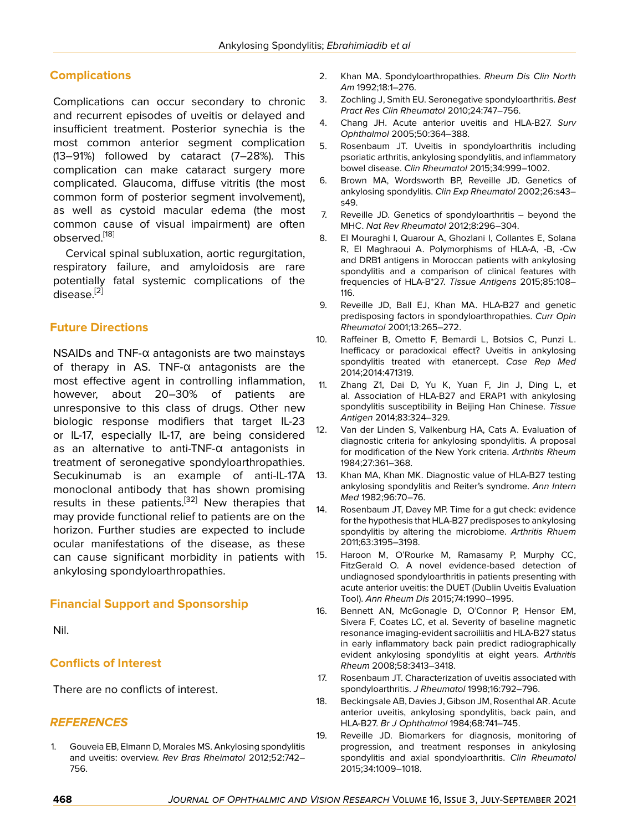## **Complications**

Complications can occur secondary to chronic and recurrent episodes of uveitis or delayed and insufficient treatment. Posterior synechia is the most common anterior segment complication (13–91%) followed by cataract (7–28%). This complication can make cataract surgery more complicated. Glaucoma, diffuse vitritis (the most common form of posterior segment involvement), as well as cystoid macular edema (the most common cause of visual impairment) are often observed.[\[18](#page-6-17)]

Cervical spinal subluxation, aortic regurgitation, respiratory failure, and amyloidosis are rare potentially fatal systemic complications of the disease.[[2](#page-6-1)]

#### **Future Directions**

NSAIDs and TNF-α antagonists are two mainstays of therapy in AS. TNF-α antagonists are the most effective agent in controlling inflammation, however, about 20–30% of patients are unresponsive to this class of drugs. Other new biologic response modifiers that target IL-23 or IL-17, especially IL-17, are being considered as an alternative to anti-TNF-α antagonists in treatment of seronegative spondyloarthropathies. Secukinumab is an example of anti-IL-17A monoclonal antibody that has shown promising results in these patients.<sup>[\[32](#page-7-11)]</sup> New therapies that may provide functional relief to patients are on the horizon. Further studies are expected to include ocular manifestations of the disease, as these can cause significant morbidity in patients with ankylosing spondyloarthropathies.

#### **Financial Support and Sponsorship**

Nil.

#### **Conflicts of Interest**

There are no conflicts of interest.

#### *REFERENCES*

<span id="page-6-0"></span>1. Gouveia EB, Elmann D, Morales MS. Ankylosing spondylitis and uveitis: overview. *Rev Bras Rheimatol* 2012;52:742– 756.

- <span id="page-6-1"></span>2. Khan MA. Spondyloarthropathies. *Rheum Dis Clin North Am* 1992;18:1–276.
- <span id="page-6-2"></span>3. Zochling J, Smith EU. Seronegative spondyloarthritis. *Best Pract Res Clin Rheumatol* 2010;24:747–756.
- <span id="page-6-3"></span>4. Chang JH. Acute anterior uveitis and HLA-B27. *Surv Ophthalmol* 2005;50:364–388.
- <span id="page-6-4"></span>5. Rosenbaum JT. Uveitis in spondyloarthritis including psoriatic arthritis, ankylosing spondylitis, and inflammatory bowel disease. *Clin Rheumatol* 2015;34:999–1002.
- <span id="page-6-5"></span>6. Brown MA, Wordsworth BP, Reveille JD. Genetics of ankylosing spondylitis. *Clin Exp Rheumatol* 2002;26:s43– s49.
- <span id="page-6-6"></span>7. Reveille JD. Genetics of spondyloarthritis – beyond the MHC. *Nat Rev Rheumatol* 2012;8:296–304.
- <span id="page-6-7"></span>8. El Mouraghi I, Quarour A, Ghozlani I, Collantes E, Solana R, El Maghraoui A. Polymorphisms of HLA-A, -B, -Cw and DRB1 antigens in Moroccan patients with ankylosing spondylitis and a comparison of clinical features with frequencies of HLA-B\*27. *Tissue Antigens* 2015;85:108– 116.
- <span id="page-6-8"></span>9. Reveille JD, Ball EJ, Khan MA. HLA-B27 and genetic predisposing factors in spondyloarthropathies. *Curr Opin Rheumatol* 2001;13:265–272.
- <span id="page-6-9"></span>10. Raffeiner B, Ometto F, Bemardi L, Botsios C, Punzi L. Inefficacy or paradoxical effect? Uveitis in ankylosing spondylitis treated with etanercept. *Case Rep Med* 2014;2014:471319.
- <span id="page-6-10"></span>11. Zhang Z1, Dai D, Yu K, Yuan F, Jin J, Ding L, et al. Association of HLA-B27 and ERAP1 with ankylosing spondylitis susceptibility in Beijing Han Chinese. *Tissue Antigen* 2014;83:324–329.
- <span id="page-6-11"></span>12. Van der Linden S, Valkenburg HA, Cats A. Evaluation of diagnostic criteria for ankylosing spondylitis. A proposal for modification of the New York criteria. *Arthritis Rheum* 1984;27:361–368.
- <span id="page-6-12"></span>13. Khan MA, Khan MK. Diagnostic value of HLA-B27 testing ankylosing spondylitis and Reiter's syndrome. *Ann Intern Med* 1982;96:70–76.
- <span id="page-6-13"></span>14. Rosenbaum JT, Davey MP. Time for a gut check: evidence for the hypothesis that HLA-B27 predisposes to ankylosing spondylitis by altering the microbiome. *Arthritis Rhuem* 2011;63:3195–3198.
- <span id="page-6-14"></span>15. Haroon M, O'Rourke M, Ramasamy P, Murphy CC, FitzGerald O. A novel evidence-based detection of undiagnosed spondyloarthritis in patients presenting with acute anterior uveitis: the DUET (Dublin Uveitis Evaluation Tool). *Ann Rheum Dis* 2015;74:1990–1995.
- <span id="page-6-15"></span>16. Bennett AN, McGonagle D, O'Connor P, Hensor EM, Sivera F, Coates LC, et al. Severity of baseline magnetic resonance imaging-evident sacroiliitis and HLA-B27 status in early inflammatory back pain predict radiographically evident ankylosing spondylitis at eight years. *Arthritis Rheum* 2008;58:3413–3418.
- <span id="page-6-16"></span>17. Rosenbaum JT. Characterization of uveitis associated with spondyloarthritis. *J Rheumatol* 1998;16:792–796.
- <span id="page-6-17"></span>18. Beckingsale AB, Davies J, Gibson JM, Rosenthal AR. Acute anterior uveitis, ankylosing spondylitis, back pain, and HLA-B27. *Br J Ophthalmol* 1984;68:741–745.
- <span id="page-6-18"></span>19. Reveille JD. Biomarkers for diagnosis, monitoring of progression, and treatment responses in ankylosing spondylitis and axial spondyloarthritis. *Clin Rheumatol* 2015;34:1009–1018.